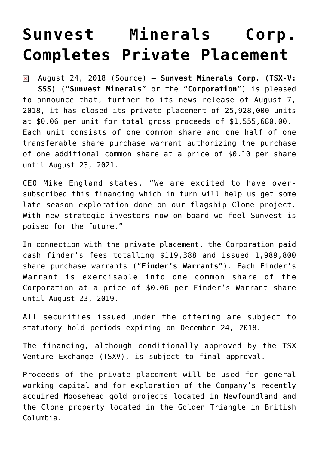## **[Sunvest Minerals Corp.](https://investorintel.com/markets/gold-silver-base-metals/gold-precious-metals-news/sunvest-minerals-corp-completes-private-placement-2/) [Completes Private Placement](https://investorintel.com/markets/gold-silver-base-metals/gold-precious-metals-news/sunvest-minerals-corp-completes-private-placement-2/)**

August 24, 2018 ([Source](https://investorintel.com/iintel-members/sunvest-minerals-corp/)) — **Sunvest Minerals Corp. (TSX-V:**  $\pmb{\times}$ **SSS)** ("**Sunvest Minerals**" or the "**Corporation**") is pleased to announce that, further to its news release of August 7, 2018, it has closed its private placement of 25,928,000 units at \$0.06 per unit for total gross proceeds of \$1,555,680.00. Each unit consists of one common share and one half of one transferable share purchase warrant authorizing the purchase of one additional common share at a price of \$0.10 per share until August 23, 2021.

CEO Mike England states, "We are excited to have oversubscribed this financing which in turn will help us get some late season exploration done on our flagship Clone project. With new strategic investors now on-board we feel Sunvest is poised for the future."

In connection with the private placement, the Corporation paid cash finder's fees totalling \$119,388 and issued 1,989,800 share purchase warrants ("**Finder's Warrants**"). Each Finder's Warrant is exercisable into one common share of the Corporation at a price of \$0.06 per Finder's Warrant share until August 23, 2019.

All securities issued under the offering are subject to statutory hold periods expiring on December 24, 2018.

The financing, although conditionally approved by the TSX Venture Exchange (TSXV), is subject to final approval.

Proceeds of the private placement will be used for general working capital and for exploration of the Company's recently acquired Moosehead gold projects located in Newfoundland and the Clone property located in the Golden Triangle in British Columbia.